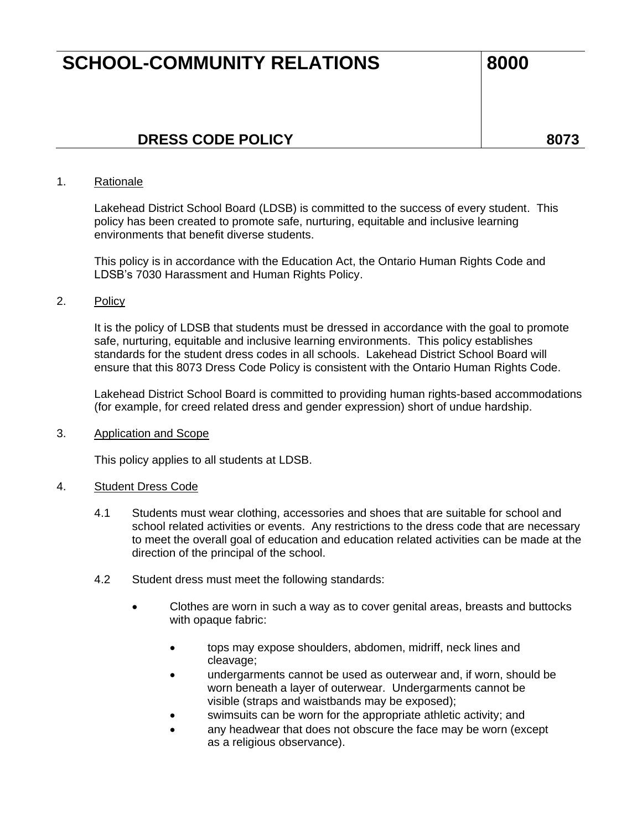# **SCHOOL-COMMUNITY RELATIONS** 8000

# **DRESS CODE POLICY 8073**

# 1. Rationale

Lakehead District School Board (LDSB) is committed to the success of every student. This policy has been created to promote safe, nurturing, equitable and inclusive learning environments that benefit diverse students.

This policy is in accordance with the Education Act, the Ontario Human Rights Code and LDSB's 7030 Harassment and Human Rights Policy.

# 2. Policy

It is the policy of LDSB that students must be dressed in accordance with the goal to promote safe, nurturing, equitable and inclusive learning environments. This policy establishes standards for the student dress codes in all schools. Lakehead District School Board will ensure that this 8073 Dress Code Policy is consistent with the Ontario Human Rights Code.

Lakehead District School Board is committed to providing human rights-based accommodations (for example, for creed related dress and gender expression) short of undue hardship.

#### 3. Application and Scope

This policy applies to all students at LDSB.

#### 4. Student Dress Code

- 4.1 Students must wear clothing, accessories and shoes that are suitable for school and school related activities or events. Any restrictions to the dress code that are necessary to meet the overall goal of education and education related activities can be made at the direction of the principal of the school.
- 4.2 Student dress must meet the following standards:
	- Clothes are worn in such a way as to cover genital areas, breasts and buttocks with opaque fabric:
		- tops may expose shoulders, abdomen, midriff, neck lines and cleavage;
		- undergarments cannot be used as outerwear and, if worn, should be worn beneath a layer of outerwear. Undergarments cannot be visible (straps and waistbands may be exposed);
		- swimsuits can be worn for the appropriate athletic activity; and
		- any headwear that does not obscure the face may be worn (except as a religious observance).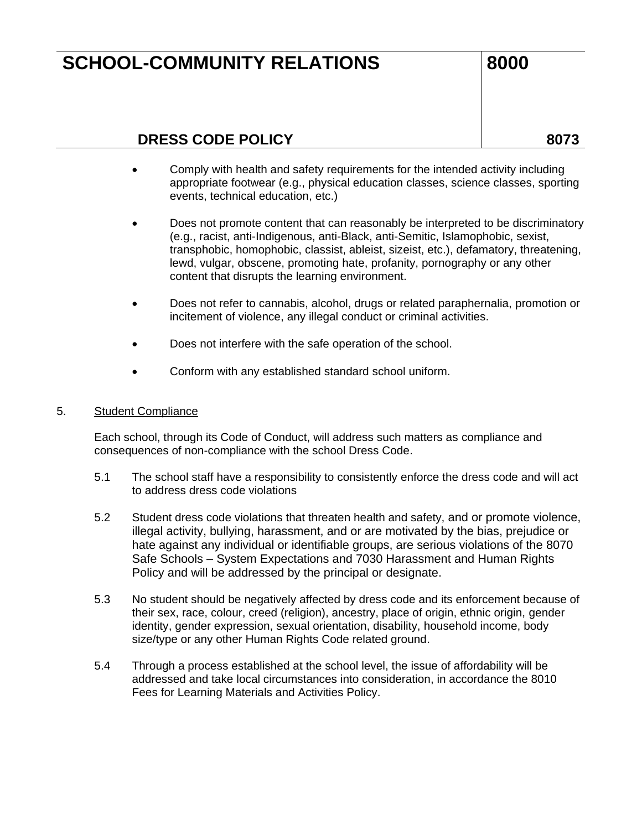# **SCHOOL-COMMUNITY RELATIONS** 8000

# **DRESS CODE POLICY 8073**

- Comply with health and safety requirements for the intended activity including appropriate footwear (e.g., physical education classes, science classes, sporting events, technical education, etc.)
- Does not promote content that can reasonably be interpreted to be discriminatory (e.g., racist, anti-Indigenous, anti-Black, anti-Semitic, Islamophobic, sexist, transphobic, homophobic, classist, ableist, sizeist, etc.), defamatory, threatening, lewd, vulgar, obscene, promoting hate, profanity, pornography or any other content that disrupts the learning environment.
- Does not refer to cannabis, alcohol, drugs or related paraphernalia, promotion or incitement of violence, any illegal conduct or criminal activities.
- Does not interfere with the safe operation of the school.
- Conform with any established standard school uniform.

# 5. Student Compliance

Each school, through its Code of Conduct, will address such matters as compliance and consequences of non-compliance with the school Dress Code.

- 5.1 The school staff have a responsibility to consistently enforce the dress code and will act to address dress code violations
- 5.2 Student dress code violations that threaten health and safety, and or promote violence, illegal activity, bullying, harassment, and or are motivated by the bias, prejudice or hate against any individual or identifiable groups, are serious violations of the 8070 Safe Schools – System Expectations and 7030 Harassment and Human Rights Policy and will be addressed by the principal or designate.
- 5.3 No student should be negatively affected by dress code and its enforcement because of their sex, race, colour, creed (religion), ancestry, place of origin, ethnic origin, gender identity, gender expression, sexual orientation, disability, household income, body size/type or any other Human Rights Code related ground.
- 5.4 Through a process established at the school level, the issue of affordability will be addressed and take local circumstances into consideration, in accordance the 8010 Fees for Learning Materials and Activities Policy.